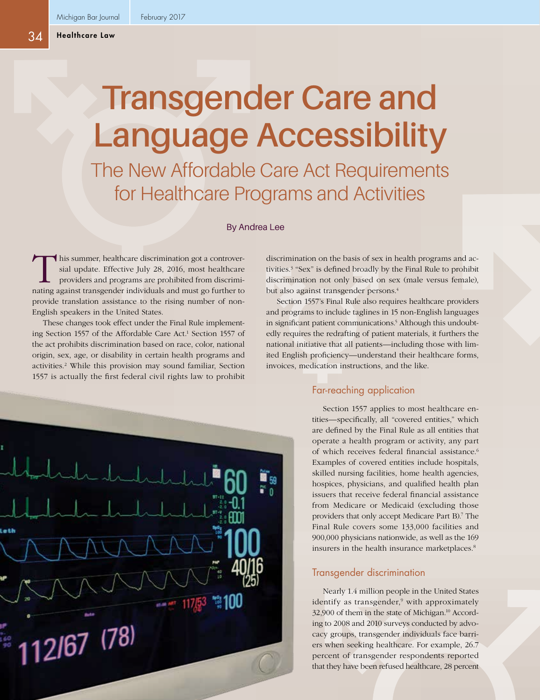# **Transgender Care and Language Accessibility**

The New Affordable Care Act Requirements for Healthcare Programs and Activities

By Andrea Lee

This summer, healthcare discrimination got a controver-<br>sial update. Effective July 28, 2016, most healthcare<br>providers and programs are prohibited from discrimi-<br>nating against transcender individuals and must go further sial update. Effective July 28, 2016, most healthcare providers and programs are prohibited from discriminating against transgender individuals and must go further to provide translation assistance to the rising number of non-English speakers in the United States.

These changes took effect under the Final Rule implementing Section 1557 of the Affordable Care Act.<sup>1</sup> Section 1557 of the act prohibits discrimination based on race, color, national origin, sex, age, or disability in certain health programs and activities.2 While this provision may sound familiar, Section 1557 is actually the first federal civil rights law to prohibit



discrimination on the basis of sex in health programs and activities.3 "Sex" is defined broadly by the Final Rule to prohibit discrimination not only based on sex (male versus female), but also against transgender persons.<sup>4</sup>

Section 1557's Final Rule also requires healthcare providers and programs to include taglines in 15 non-English languages in significant patient communications.<sup>5</sup> Although this undoubtedly requires the redrafting of patient materials, it furthers the national initiative that all patients—including those with limited English proficiency—understand their healthcare forms, invoices, medication instructions, and the like.

# Far-reaching application

Section 1557 applies to most healthcare entities—specifically, all "covered entities," which are defined by the Final Rule as all entities that operate a health program or activity, any part of which receives federal financial assistance.<sup>6</sup> Examples of covered entities include hospitals, skilled nursing facilities, home health agencies, hospices, physicians, and qualified health plan issuers that receive federal financial assistance from Medicare or Medicaid (excluding those providers that only accept Medicare Part B).7 The Final Rule covers some 133,000 facilities and 900,000 physicians nationwide, as well as the 169 insurers in the health insurance marketplaces.<sup>8</sup>

### Transgender discrimination

Nearly 1.4 million people in the United States identify as transgender,<sup>9</sup> with approximately 32,900 of them in the state of Michigan.10 According to 2008 and 2010 surveys conducted by advocacy groups, transgender individuals face barriers when seeking healthcare. For example, 26.7 percent of transgender respondents reported that they have been refused healthcare, 28 percent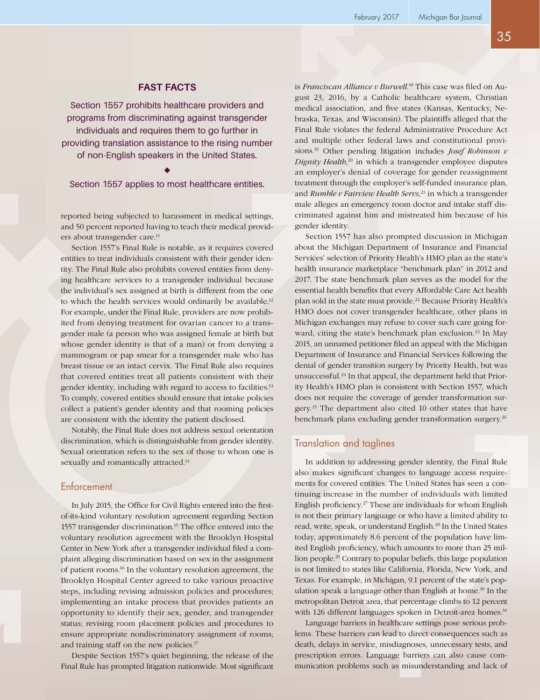## **FAST FACTS**

Section 1557 prohibits healthcare providers and programs from discriminating against transgender individuals and requires them to go further in providing translation assistance to the rising number of non-English speakers in the United States.

Section 1557 applies to most healthcare entities.

reported being subjected to harassment in medical settings, and 50 percent reported having to teach their medical providers about transgender care.<sup>11</sup>

Section 1557's Final Rule is notable, as it requires covered entities to treat individuals consistent with their gender identity. The Final Rule also prohibits covered entities from denying healthcare services to a transgender individual because the individual's sex assigned at birth is different from the one to which the health services would ordinarily be available.<sup>12</sup> For example, under the Final Rule, providers are now prohibited from denying treatment for ovarian cancer to a transgender male (a person who was assigned female at birth but whose gender identity is that of a man) or from denying a mammogram or pap smear for a transgender male who has breast tissue or an intact cervix. The Final Rule also requires that covered entities treat all patients consistent with their gender identity, including with regard to access to facilities.13 To comply, covered entities should ensure that intake policies collect a patient's gender identity and that rooming policies are consistent with the identity the patient disclosed.

Notably, the Final Rule does not address sexual orientation discrimination, which is distinguishable from gender identity. Sexual orientation refers to the sex of those to whom one is sexually and romantically attracted.<sup>14</sup>

#### **Enforcement**

In July 2015, the Office for Civil Rights entered into the firstof-its-kind voluntary resolution agreement regarding Section 1557 transgender discrimination.<sup>15</sup> The office entered into the voluntary resolution agreement with the Brooklyn Hospital Center in New York after a transgender individual filed a complaint alleging discrimination based on sex in the assignment of patient rooms.16 In the voluntary resolution agreement, the Brooklyn Hospital Center agreed to take various proactive steps, including revising admission policies and procedures; implementing an intake process that provides patients an opportunity to identify their sex, gender, and transgender status; revising room placement policies and procedures to ensure appropriate nondiscriminatory assignment of rooms; and training staff on the new policies.17

Despite Section 1557's quiet beginning, the release of the Final Rule has prompted litigation nationwide. Most significant

is *Franciscan Alliance v Burwell*. 18 This case was filed on August 23, 2016, by a Catholic healthcare system, Christian medical association, and five states (Kansas, Kentucky, Nebraska, Texas, and Wisconsin). The plaintiffs alleged that the Final Rule violates the federal Administrative Procedure Act and multiple other federal laws and constitutional provisions.19 Other pending litigation includes *Josef Robinson v Dignity Health*, 20 in which a transgender employee disputes an employer's denial of coverage for gender reassignment treatment through the employer's self-funded insurance plan, and *Rumble v Fairview Health Servs*, 21 in which a transgender male alleges an emergency room doctor and intake staff discriminated against him and mistreated him because of his gender identity.

Section 1557 has also prompted discussion in Michigan about the Michigan Department of Insurance and Financial Services' selection of Priority Health's HMO plan as the state's health insurance marketplace "benchmark plan" in 2012 and 2017. The state benchmark plan serves as the model for the essential health benefits that every Affordable Care Act health plan sold in the state must provide.<sup>22</sup> Because Priority Health's HMO does not cover transgender healthcare, other plans in Michigan exchanges may refuse to cover such care going forward, citing the state's benchmark plan exclusion.<sup>23</sup> In May 2015, an unnamed petitioner filed an appeal with the Michigan Department of Insurance and Financial Services following the denial of gender transition surgery by Priority Health, but was unsuccessful.24 In that appeal, the department held that Priority Health's HMO plan is consistent with Section 1557, which does not require the coverage of gender transformation surgery.25 The department also cited 10 other states that have benchmark plans excluding gender transformation surgery.<sup>26</sup>

### Translation and taglines

In addition to addressing gender identity, the Final Rule also makes significant changes to language access requirements for covered entities. The United States has seen a continuing increase in the number of individuals with limited English proficiency.27 These are individuals for whom English is not their primary language or who have a limited ability to read, write, speak, or understand English.<sup>28</sup> In the United States today, approximately 8.6 percent of the population have limited English proficiency, which amounts to more than 25 million people.29 Contrary to popular beliefs, this large population is not limited to states like California, Florida, New York, and Texas. For example, in Michigan, 9.1 percent of the state's population speak a language other than English at home.<sup>30</sup> In the metropolitan Detroit area, that percentage climbs to 12 percent with 126 different languages spoken in Detroit-area homes.<sup>31</sup>

Language barriers in healthcare settings pose serious problems. These barriers can lead to direct consequences such as death, delays in service, misdiagnoses, unnecessary tests, and prescription errors. Language barriers can also cause communication problems such as misunderstanding and lack of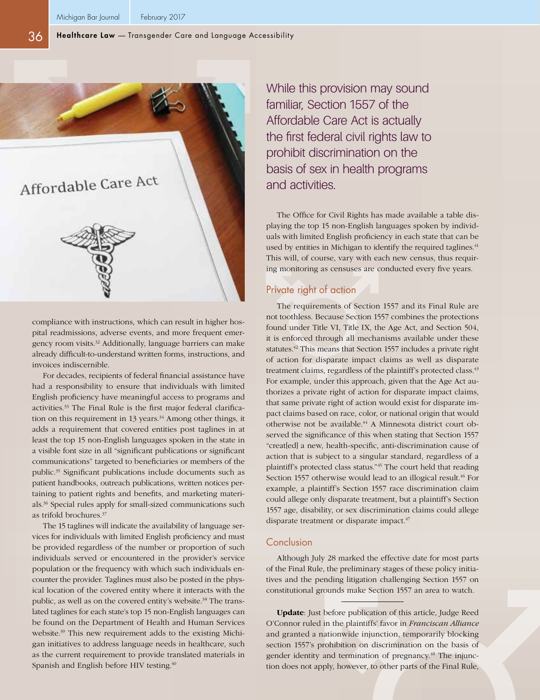

compliance with instructions, which can result in higher hospital readmissions, adverse events, and more frequent emergency room visits.32 Additionally, language barriers can make already difficult-to-understand written forms, instructions, and invoices indiscernible.

For decades, recipients of federal financial assistance have had a responsibility to ensure that individuals with limited English proficiency have meaningful access to programs and activities.33 The Final Rule is the first major federal clarification on this requirement in 13 years. $34$  Among other things, it adds a requirement that covered entities post taglines in at least the top 15 non-English languages spoken in the state in a visible font size in all "significant publications or significant communications" targeted to beneficiaries or members of the public.35 Significant publications include documents such as patient handbooks, outreach publications, written notices pertaining to patient rights and benefits, and marketing materials.36 Special rules apply for small-sized communications such as trifold brochures.<sup>37</sup>

The 15 taglines will indicate the availability of language services for individuals with limited English proficiency and must be provided regardless of the number or proportion of such individuals served or encountered in the provider's service population or the frequency with which such individuals encounter the provider. Taglines must also be posted in the physical location of the covered entity where it interacts with the public, as well as on the covered entity's website.<sup>38</sup> The translated taglines for each state's top 15 non-English languages can be found on the Department of Health and Human Services website.<sup>39</sup> This new requirement adds to the existing Michigan initiatives to address language needs in healthcare, such as the current requirement to provide translated materials in Spanish and English before HIV testing.<sup>40</sup>

While this provision may sound familiar, Section 1557 of the Affordable Care Act is actually the first federal civil rights law to prohibit discrimination on the basis of sex in health programs and activities.

The Office for Civil Rights has made available a table displaying the top 15 non-English languages spoken by individuals with limited English proficiency in each state that can be used by entities in Michigan to identify the required taglines.<sup>41</sup> This will, of course, vary with each new census, thus requiring monitoring as censuses are conducted every five years.

# Private right of action

The requirements of Section 1557 and its Final Rule are not toothless. Because Section 1557 combines the protections found under Title VI, Title IX, the Age Act, and Section 504, it is enforced through all mechanisms available under these statutes.42 This means that Section 1557 includes a private right of action for disparate impact claims as well as disparate treatment claims, regardless of the plaintiff's protected class.<sup>43</sup> For example, under this approach, given that the Age Act authorizes a private right of action for disparate impact claims, that same private right of action would exist for disparate impact claims based on race, color, or national origin that would otherwise not be available.<sup>44</sup> A Minnesota district court observed the significance of this when stating that Section 1557 "creat[ed] a new, health-specific, anti-discrimination cause of action that is subject to a singular standard, regardless of a plaintiff's protected class status."45 The court held that reading Section 1557 otherwise would lead to an illogical result.<sup>46</sup> For example, a plaintiff's Section 1557 race discrimination claim could allege only disparate treatment, but a plaintiff's Section 1557 age, disability, or sex discrimination claims could allege disparate treatment or disparate impact.<sup>47</sup>

#### Conclusion

Although July 28 marked the effective date for most parts of the Final Rule, the preliminary stages of these policy initiatives and the pending litigation challenging Section 1557 on constitutional grounds make Section 1557 an area to watch.

**Update**: Just before publication of this article, Judge Reed O'Connor ruled in the plaintiffs' favor in *Franciscan Alliance* and granted a nationwide injunction, temporarily blocking section 1557's prohibition on discrimination on the basis of gender identity and termination of pregnancy.<sup>48</sup> The injunction does not apply, however, to other parts of the Final Rule,